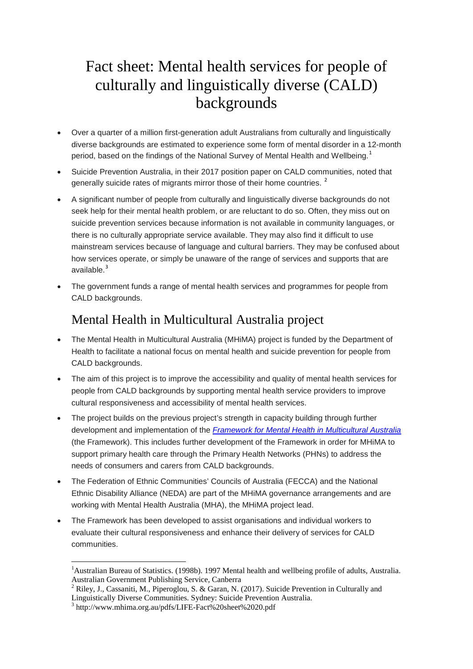# Fact sheet: Mental health services for people of culturally and linguistically diverse (CALD) backgrounds

- Over a quarter of a million first-generation adult Australians from culturally and linguistically diverse backgrounds are estimated to experience some form of mental disorder in a 12-month period, based on the findings of the National Survey of Mental Health and Wellbeing.<sup>[1](#page-0-0)</sup>
- Suicide Prevention Australia, in their 2017 position paper on CALD communities, noted that generally suicide rates of migrants mirror those of their home countries.<sup>[2](#page-0-1)</sup>
- A significant number of people from culturally and linguistically diverse backgrounds do not seek help for their mental health problem, or are reluctant to do so. Often, they miss out on suicide prevention services because information is not available in community languages, or there is no culturally appropriate service available. They may also find it difficult to use mainstream services because of language and cultural barriers. They may be confused about how services operate, or simply be unaware of the range of services and supports that are available.<sup>[3](#page-0-2)</sup>
- The government funds a range of mental health services and programmes for people from CALD backgrounds.

# Mental Health in Multicultural Australia project

- The Mental Health in Multicultural Australia (MHiMA) project is funded by the Department of Health to facilitate a national focus on mental health and suicide prevention for people from CALD backgrounds.
- The aim of this project is to improve the accessibility and quality of mental health services for people from CALD backgrounds by supporting mental health service providers to improve cultural responsiveness and accessibility of mental health services.
- The project builds on the previous project's strength in capacity building through further development and implementation of the *[Framework for Mental Health in Multicultural Australia](http://framework.mhima.org.au/framework/index.htm)* (the Framework). This includes further development of the Framework in order for MHiMA to support primary health care through the Primary Health Networks (PHNs) to address the needs of consumers and carers from CALD backgrounds.
- The Federation of Ethnic Communities' Councils of Australia (FECCA) and the National Ethnic Disability Alliance (NEDA) are part of the MHiMA governance arrangements and are working with Mental Health Australia (MHA), the MHiMA project lead.
- The Framework has been developed to assist organisations and individual workers to evaluate their cultural responsiveness and enhance their delivery of services for CALD communities.

<span id="page-0-1"></span><sup>2</sup> Riley, J., Cassaniti, M., Piperoglou, S. & Garan, N. (2017). Suicide Prevention in Culturally and Linguistically Diverse Communities. Sydney: Suicide Prevention Australia.

<span id="page-0-0"></span> $\frac{1}{1}$ <sup>1</sup>Australian Bureau of Statistics. (1998b). 1997 Mental health and wellbeing profile of adults, Australia. Australian Government Publishing Service, Canberra

<span id="page-0-2"></span><sup>3</sup> http://www.mhima.org.au/pdfs/LIFE-Fact%20sheet%2020.pdf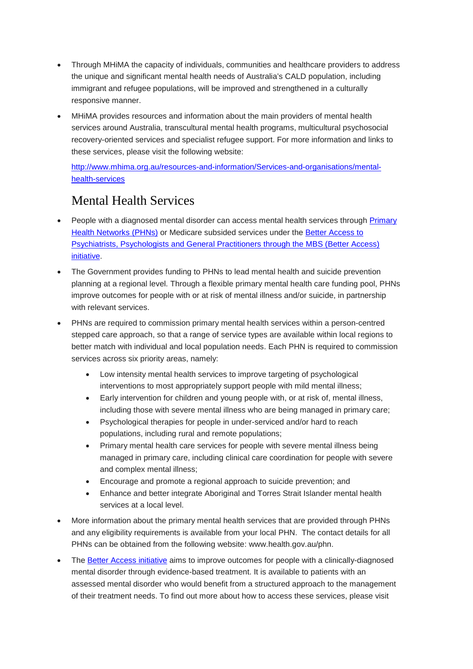- Through MHiMA the capacity of individuals, communities and healthcare providers to address the unique and significant mental health needs of Australia's CALD population, including immigrant and refugee populations, will be improved and strengthened in a culturally responsive manner.
- MHiMA provides resources and information about the main providers of mental health services around Australia, transcultural mental health programs, multicultural psychosocial recovery-oriented services and specialist refugee support. For more information and links to these services, please visit the following website:

[http://www.mhima.org.au/resources-and-information/Services-and-organisations/mental](http://www.mhima.org.au/resources-and-information/Services-and-organisations/mental-health-services)[health-services](http://www.mhima.org.au/resources-and-information/Services-and-organisations/mental-health-services) 

#### Mental Health Services

- People with a diagnosed mental disorder can access mental health services through [Primary](http://www.health.gov.au/PHN)  [Health Networks \(PHNs\)](http://www.health.gov.au/PHN) or Medicare subsided services under the [Better Access](http://www.health.gov.au/mentalhealth-betteraccess) to [Psychiatrists, Psychologists and General Practitioners through the MBS \(Better Access\)](http://www.health.gov.au/mentalhealth-betteraccess) [initiative.](http://www.health.gov.au/mentalhealth-betteraccess)
- The Government provides funding to PHNs to lead mental health and suicide prevention planning at a regional level. Through a flexible primary mental health care funding pool, PHNs improve outcomes for people with or at risk of mental illness and/or suicide, in partnership with relevant services.
- PHNs are required to commission primary mental health services within a person-centred stepped care approach, so that a range of service types are available within local regions to better match with individual and local population needs. Each PHN is required to commission services across six priority areas, namely:
	- Low intensity mental health services to improve targeting of psychological interventions to most appropriately support people with mild mental illness;
	- Early intervention for children and young people with, or at risk of, mental illness, including those with severe mental illness who are being managed in primary care;
	- Psychological therapies for people in under-serviced and/or hard to reach populations, including rural and remote populations;
	- Primary mental health care services for people with severe mental illness being managed in primary care, including clinical care coordination for people with severe and complex mental illness;
	- Encourage and promote a regional approach to suicide prevention; and
	- Enhance and better integrate Aboriginal and Torres Strait Islander mental health services at a local level.
- More information about the primary mental health services that are provided through PHNs and any eligibility requirements is available from your local PHN. The contact details for all PHNs can be obtained from the following website: [www.health.gov.au/phn.](http://www.health.gov.au/phn)
- The **Better Access initiative** aims to improve outcomes for people with a clinically-diagnosed mental disorder through evidence-based treatment. It is available to patients with an assessed mental disorder who would benefit from a structured approach to the management of their treatment needs. To find out more about how to access these services, please visit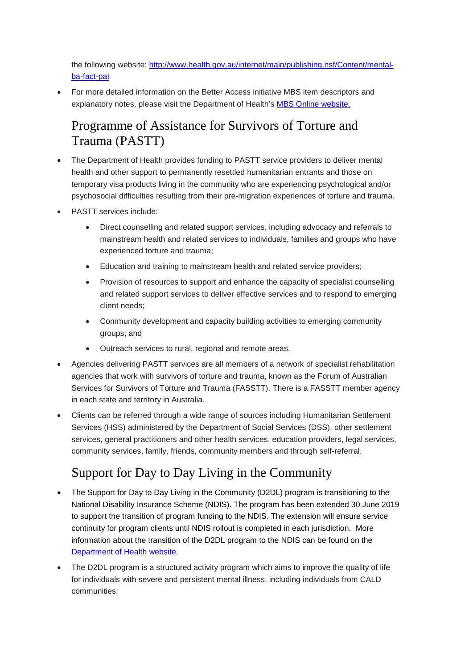the following website: [http://www.health.gov.au/internet/main/publishing.nsf/Content/mental](http://www.health.gov.au/internet/main/publishing.nsf/Content/mental-ba-fact-pat)[ba-fact-pat](http://www.health.gov.au/internet/main/publishing.nsf/Content/mental-ba-fact-pat)

• For more detailed information on the Better Access initiative MBS item descriptors and explanatory notes, please visit the Department of Health's [MBS Online website.](http://www.mbsonline.gov.au/internet/mbsonline/publishing.nsf/Content/Home)

#### Programme of Assistance for Survivors of Torture and Trauma (PASTT)

- The Department of Health provides funding to PASTT service providers to deliver mental health and other support to permanently resettled humanitarian entrants and those on temporary visa products living in the community who are experiencing psychological and/or psychosocial difficulties resulting from their pre-migration experiences of torture and trauma.
- PASTT services include:
	- Direct counselling and related support services, including advocacy and referrals to mainstream health and related services to individuals, families and groups who have experienced torture and trauma;
	- Education and training to mainstream health and related service providers;
	- Provision of resources to support and enhance the capacity of specialist counselling and related support services to deliver effective services and to respond to emerging client needs;
	- Community development and capacity building activities to emerging community groups; and
	- Outreach services to rural, regional and remote areas.
- Agencies delivering PASTT services are all members of a network of specialist rehabilitation agencies that work with survivors of torture and trauma, known as the Forum of Australian Services for Survivors of Torture and Trauma (FASSTT). There is a FASSTT member agency in each state and territory in Australia.
- Clients can be referred through a wide range of sources including Humanitarian Settlement Services (HSS) administered by the Department of Social Services (DSS), other settlement services, general practitioners and other health services, education providers, legal services, community services, family, friends, community members and through self-referral.

# Support for Day to Day Living in the Community

- The Support for Day to Day Living in the Community (D2DL) program is transitioning to the National Disability Insurance Scheme (NDIS). The program has been extended 30 June 2019 to support the transition of program funding to the NDIS. The extension will ensure service continuity for program clients until NDIS rollout is completed in each jurisdiction. More information about the transition of the D2DL program to the NDIS can be found on the [Department of Health website.](http://www.health.gov.au/internet/main/publishing.nsf/Content/mental-d2dl)
- The D2DL program is a structured activity program which aims to improve the quality of life for individuals with severe and persistent mental illness, including individuals from CALD communities.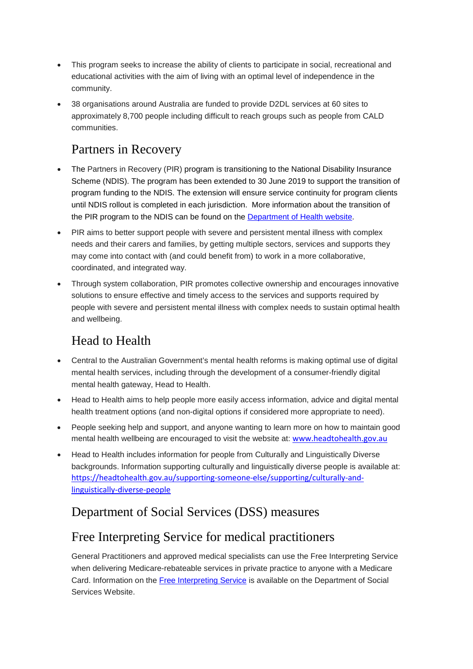- This program seeks to increase the ability of clients to participate in social, recreational and educational activities with the aim of living with an optimal level of independence in the community.
- 38 organisations around Australia are funded to provide D2DL services at 60 sites to approximately 8,700 people including difficult to reach groups such as people from CALD communities.

# Partners in Recovery

- The Partners in Recovery (PIR) program is transitioning to the National Disability Insurance Scheme (NDIS). The program has been extended to 30 June 2019 to support the transition of program funding to the NDIS. The extension will ensure service continuity for program clients until NDIS rollout is completed in each jurisdiction. More information about the transition of the PIR program to the NDIS can be found on the [Department of Health website.](http://www.health.gov.au/internet/main/publishing.nsf/Content/mental-pir)
- PIR aims to better support people with severe and persistent mental illness with complex needs and their carers and families, by getting multiple sectors, services and supports they may come into contact with (and could benefit from) to work in a more collaborative, coordinated, and integrated way.
- Through system collaboration, PIR promotes collective ownership and encourages innovative solutions to ensure effective and timely access to the services and supports required by people with severe and persistent mental illness with complex needs to sustain optimal health and wellbeing.

# Head to Health

- Central to the Australian Government's mental health reforms is making optimal use of digital mental health services, including through the development of a consumer-friendly digital mental health gateway, Head to Health.
- Head to Health aims to help people more easily access information, advice and digital mental health treatment options (and non-digital options if considered more appropriate to need).
- People seeking help and support, and anyone wanting to learn more on how to maintain good mental health wellbeing are encouraged to visit the website at: [www.headtohealth.gov.au](http://www.headtohealth.gov.au/)
- Head to Health includes information for people from Culturally and Linguistically Diverse backgrounds. Information supporting culturally and linguistically diverse people is available at: [https://headtohealth.gov.au/supporting-someone-else/supporting/culturally-and](https://headtohealth.gov.au/supporting-someone-else/supporting/culturally-and-linguistically-diverse-people)[linguistically-diverse-people](https://headtohealth.gov.au/supporting-someone-else/supporting/culturally-and-linguistically-diverse-people)

# Department of Social Services (DSS) measures

# Free Interpreting Service for medical practitioners

General Practitioners and approved medical specialists can use the Free Interpreting Service when delivering Medicare-rebateable services in private practice to anyone with a Medicare Card. Information on the [Free Interpreting Service](https://www.dss.gov.au/our-responsibilities/settlement-and-multicultural-affairs/programs-policy/settle-in-australia/help-with-english/free-interpreting-service) is available on the Department of Social Services Website.